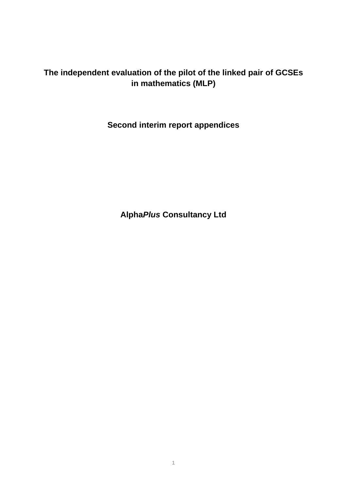# **The independent evaluation of the pilot of the linked pair of GCSEs in mathematics (MLP)**

**Second interim report appendices** 

**Alpha***Plus* **Consultancy Ltd**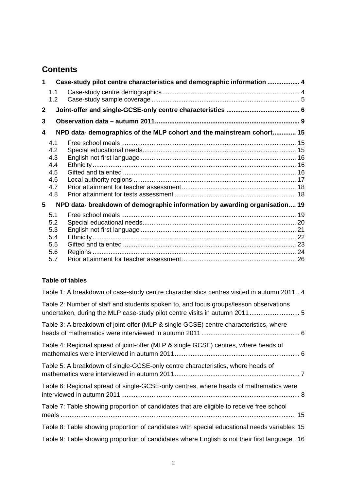# **Contents**

| 1.1<br>1.2                                           |                                                                                                                                                                                                                               |
|------------------------------------------------------|-------------------------------------------------------------------------------------------------------------------------------------------------------------------------------------------------------------------------------|
|                                                      |                                                                                                                                                                                                                               |
|                                                      |                                                                                                                                                                                                                               |
|                                                      |                                                                                                                                                                                                                               |
| 4.1<br>4.2<br>4.3<br>4.4<br>4.5<br>4.6<br>4.7<br>4.8 |                                                                                                                                                                                                                               |
|                                                      |                                                                                                                                                                                                                               |
| 5.1<br>5.2<br>5.3<br>5.4<br>5.5<br>5.6<br>5.7        |                                                                                                                                                                                                                               |
|                                                      | Case-study pilot centre characteristics and demographic information  4<br>NPD data- demographics of the MLP cohort and the mainstream cohort 15<br>NPD data- breakdown of demographic information by awarding organisation 19 |

### **Table of tables**

| Table 1: A breakdown of case-study centre characteristics centres visited in autumn 2011 4                                                                          |
|---------------------------------------------------------------------------------------------------------------------------------------------------------------------|
| Table 2: Number of staff and students spoken to, and focus groups/lesson observations<br>undertaken, during the MLP case-study pilot centre visits in autumn 2011 5 |
| Table 3: A breakdown of joint-offer (MLP & single GCSE) centre characteristics, where                                                                               |
| Table 4: Regional spread of joint-offer (MLP & single GCSE) centres, where heads of                                                                                 |
| Table 5: A breakdown of single-GCSE-only centre characteristics, where heads of                                                                                     |
| Table 6: Regional spread of single-GCSE-only centres, where heads of mathematics were                                                                               |
| Table 7: Table showing proportion of candidates that are eligible to receive free school                                                                            |
| Table 8: Table showing proportion of candidates with special educational needs variables 15                                                                         |
| Table 9: Table showing proportion of candidates where English is not their first language . 16                                                                      |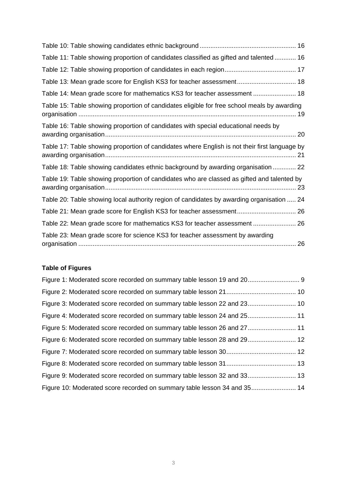# **Table of Figures**

| Figure 3: Moderated score recorded on summary table lesson 22 and 23 10  |  |
|--------------------------------------------------------------------------|--|
| Figure 4: Moderated score recorded on summary table lesson 24 and 25 11  |  |
| Figure 5: Moderated score recorded on summary table lesson 26 and 27 11  |  |
| Figure 6: Moderated score recorded on summary table lesson 28 and 29 12  |  |
|                                                                          |  |
|                                                                          |  |
| Figure 9: Moderated score recorded on summary table lesson 32 and 33 13  |  |
| Figure 10: Moderated score recorded on summary table lesson 34 and 35 14 |  |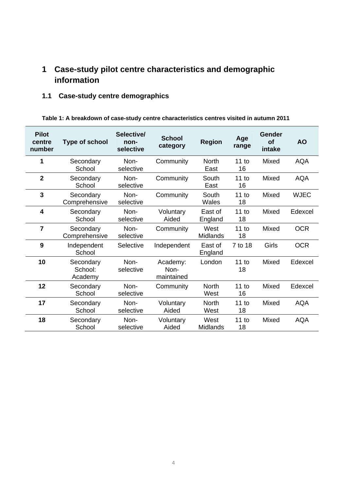# <span id="page-3-0"></span>**1 Case-study pilot centre characteristics and demographic information**

# **1.1 Case-study centre demographics**

| Table 1: A breakdown of case-study centre characteristics centres visited in autumn 2011 |  |
|------------------------------------------------------------------------------------------|--|
|------------------------------------------------------------------------------------------|--|

| <b>Pilot</b><br>centre<br>number | <b>Type of school</b>           | Selective/<br>non-<br>selective | <b>School</b><br>category      | <b>Region</b>           | Age<br>range | Gender<br>Οf<br>intake | <b>AO</b>   |
|----------------------------------|---------------------------------|---------------------------------|--------------------------------|-------------------------|--------------|------------------------|-------------|
| 1                                | Secondary<br>School             | Non-<br>selective               | Community                      | <b>North</b><br>East    | 11 to<br>16  | Mixed                  | <b>AQA</b>  |
| $\overline{2}$                   | Secondary<br>School             | Non-<br>selective               | Community                      | South<br>East           | 11 to<br>16  | Mixed                  | <b>AQA</b>  |
| $\overline{3}$                   | Secondary<br>Comprehensive      | Non-<br>selective               | Community                      | South<br>Wales          | 11 to<br>18  | Mixed                  | <b>WJEC</b> |
| $\overline{\mathbf{4}}$          | Secondary<br>School             | Non-<br>selective               | Voluntary<br>Aided             | East of<br>England      | 11 to<br>18  | Mixed                  | Edexcel     |
| $\overline{7}$                   | Secondary<br>Comprehensive      | Non-<br>selective               | Community                      | West<br><b>Midlands</b> | 11 to<br>18  | Mixed                  | <b>OCR</b>  |
| 9                                | Independent<br>School           | Selective                       | Independent                    | East of<br>England      | 7 to 18      | Girls                  | <b>OCR</b>  |
| 10                               | Secondary<br>School:<br>Academy | Non-<br>selective               | Academy:<br>Non-<br>maintained | London                  | 11 to<br>18  | Mixed                  | Edexcel     |
| 12                               | Secondary<br>School             | Non-<br>selective               | Community                      | <b>North</b><br>West    | 11 to<br>16  | Mixed                  | Edexcel     |
| 17                               | Secondary<br>School             | Non-<br>selective               | Voluntary<br>Aided             | <b>North</b><br>West    | 11 to<br>18  | Mixed                  | <b>AQA</b>  |
| 18                               | Secondary<br>School             | Non-<br>selective               | Voluntary<br>Aided             | West<br><b>Midlands</b> | 11 to<br>18  | Mixed                  | <b>AQA</b>  |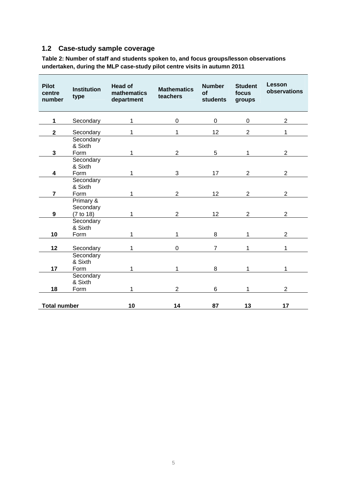### <span id="page-4-0"></span>**1.2 Case-study sample coverage**

**Table 2: Number of staff and students spoken to, and focus groups/lesson observations undertaken, during the MLP case-study pilot centre visits in autumn 2011** 

| <b>Pilot</b><br>centre<br>number | <b>Institution</b><br>type          | <b>Head of</b><br>mathematics<br>department | <b>Mathematics</b><br>teachers | <b>Number</b><br>of<br><b>students</b> | <b>Student</b><br>focus<br>groups | Lesson<br>observations |
|----------------------------------|-------------------------------------|---------------------------------------------|--------------------------------|----------------------------------------|-----------------------------------|------------------------|
| $\mathbf{1}$                     | Secondary                           | 1                                           | $\pmb{0}$                      | $\mathbf 0$                            | $\mathbf 0$                       | $\overline{2}$         |
| $\mathbf{2}$                     | Secondary                           | 1                                           | 1                              | 12                                     | $\overline{2}$                    | 1                      |
| 3                                | Secondary<br>& Sixth<br>Form        | 1                                           | $\overline{2}$                 | 5                                      | 1                                 | $\overline{2}$         |
| 4                                | Secondary<br>& Sixth<br>Form        | 1                                           | 3                              | 17                                     | $\overline{2}$                    | 2                      |
| $\overline{7}$                   | Secondary<br>& Sixth<br>Form        | 1                                           | $\overline{2}$                 | 12                                     | $\overline{2}$                    | $\overline{2}$         |
| $\boldsymbol{9}$                 | Primary &<br>Secondary<br>(7 to 18) | $\mathbf{1}$                                | $\overline{2}$                 | 12                                     | $\overline{2}$                    | $\overline{2}$         |
| 10                               | Secondary<br>& Sixth<br>Form        | 1                                           | 1                              | 8                                      | 1                                 | $\overline{2}$         |
| 12                               | Secondary                           | 1                                           | $\mathbf 0$                    | $\overline{7}$                         | 1                                 | 1                      |
| 17                               | Secondary<br>& Sixth<br>Form        | 1                                           | 1                              | 8                                      | 1                                 | 1                      |
| 18                               | Secondary<br>& Sixth<br>Form        | 1                                           | $\overline{2}$                 | 6                                      | 1                                 | $\overline{2}$         |
| <b>Total number</b>              |                                     | 10                                          | 14                             | 87                                     | 13                                | 17                     |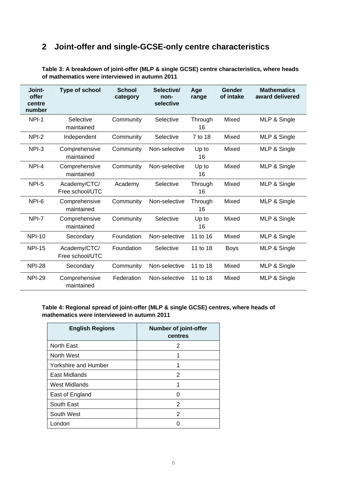# <span id="page-5-0"></span>**2 Joint-offer and single-GCSE-only centre characteristics**

| Joint-<br>offer<br>centre<br>number | <b>Type of school</b>           | <b>School</b><br>category | Selective/<br>non-<br>selective | Age<br>range  | Gender<br>of intake | <b>Mathematics</b><br>award delivered |
|-------------------------------------|---------------------------------|---------------------------|---------------------------------|---------------|---------------------|---------------------------------------|
| NPI-1                               | Selective<br>maintained         | Community                 | Selective                       | Through<br>16 | Mixed               | MLP & Single                          |
| NPI-2                               | Independent                     | Community                 | Selective                       | 7 to 18       | Mixed               | MLP & Single                          |
| NPI-3                               | Comprehensive<br>maintained     | Community                 | Non-selective                   | Up to<br>16   | Mixed               | MLP & Single                          |
| NPI-4                               | Comprehensive<br>maintained     | Community                 | Non-selective                   | Up to<br>16   | Mixed               | MLP & Single                          |
| NPI-5                               | Academy/CTC/<br>Free school/UTC | Academy                   | Selective                       | Through<br>16 | Mixed               | MLP & Single                          |
| NPI-6                               | Comprehensive<br>maintained     | Community                 | Non-selective                   | Through<br>16 | Mixed               | MLP & Single                          |
| NPI-7                               | Comprehensive<br>maintained     | Community                 | Selective                       | Up to<br>16   | Mixed               | MLP & Single                          |
| <b>NPI-10</b>                       | Secondary                       | Foundation                | Non-selective                   | 11 to 16      | Mixed               | MLP & Single                          |
| <b>NPI-15</b>                       | Academy/CTC/<br>Free school/UTC | Foundation                | Selective                       | 11 to 18      | <b>Boys</b>         | MLP & Single                          |
| <b>NPI-28</b>                       | Secondary                       | Community                 | Non-selective                   | 11 to 18      | Mixed               | MLP & Single                          |
| <b>NPI-29</b>                       | Comprehensive<br>maintained     | Federation                | Non-selective                   | 11 to 18      | Mixed               | MLP & Single                          |

**Table 3: A breakdown of joint-offer (MLP & single GCSE) centre characteristics, where heads of mathematics were interviewed in autumn 2011** 

#### **Table 4: Regional spread of joint-offer (MLP & single GCSE) centres, where heads of mathematics were interviewed in autumn 2011**

| <b>English Regions</b>      | <b>Number of joint-offer</b><br>centres |
|-----------------------------|-----------------------------------------|
| <b>North East</b>           | 2                                       |
| North West                  | 1                                       |
| <b>Yorkshire and Humber</b> |                                         |
| East Midlands               | 2                                       |
| West Midlands               |                                         |
| East of England             |                                         |
| South East                  | 2                                       |
| South West                  | 2                                       |
| London                      |                                         |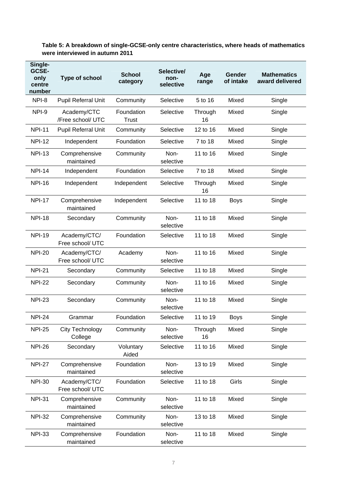<span id="page-6-0"></span>

| Table 5: A breakdown of single-GCSE-only centre characteristics, where heads of mathematics |
|---------------------------------------------------------------------------------------------|
| were interviewed in autumn 2011                                                             |

| Single-<br>GCSE-<br>only<br>centre<br>number | Type of school                    | <b>School</b><br>category  | Selective/<br>non-<br>selective | Age<br>range  | Gender<br>of intake | <b>Mathematics</b><br>award delivered |
|----------------------------------------------|-----------------------------------|----------------------------|---------------------------------|---------------|---------------------|---------------------------------------|
| NPI-8                                        | <b>Pupil Referral Unit</b>        | Community                  | Selective                       | 5 to 16       | Mixed               | Single                                |
| NPI-9                                        | Academy/CTC<br>/Free school/ UTC  | Foundation<br><b>Trust</b> | Selective                       | Through<br>16 | Mixed               | Single                                |
| <b>NPI-11</b>                                | <b>Pupil Referral Unit</b>        | Community                  | Selective                       | 12 to 16      | Mixed               | Single                                |
| <b>NPI-12</b>                                | Independent                       | Foundation                 | Selective                       | 7 to 18       | Mixed               | Single                                |
| <b>NPI-13</b>                                | Comprehensive<br>maintained       | Community                  | Non-<br>selective               | 11 to 16      | Mixed               | Single                                |
| <b>NPI-14</b>                                | Independent                       | Foundation                 | Selective                       | 7 to 18       | Mixed               | Single                                |
| <b>NPI-16</b>                                | Independent                       | Independent                | Selective                       | Through<br>16 | Mixed               | Single                                |
| <b>NPI-17</b>                                | Comprehensive<br>maintained       | Independent                | Selective                       | 11 to 18      | <b>Boys</b>         | Single                                |
| <b>NPI-18</b>                                | Secondary                         | Community                  | Non-<br>selective               | 11 to 18      | Mixed               | Single                                |
| <b>NPI-19</b>                                | Academy/CTC/<br>Free school/ UTC  | Foundation                 | Selective                       | 11 to 18      | Mixed               | Single                                |
| <b>NPI-20</b>                                | Academy/CTC/<br>Free school/ UTC  | Academy                    | Non-<br>selective               | 11 to 16      | Mixed               | Single                                |
| <b>NPI-21</b>                                | Secondary                         | Community                  | Selective                       | 11 to 18      | Mixed               | Single                                |
| <b>NPI-22</b>                                | Secondary                         | Community                  | Non-<br>selective               | 11 to 16      | Mixed               | Single                                |
| <b>NPI-23</b>                                | Secondary                         | Community                  | Non-<br>selective               | 11 to 18      | Mixed               | Single                                |
| <b>NPI-24</b>                                | Grammar                           | Foundation                 | Selective                       | 11 to 19      | <b>Boys</b>         | Single                                |
| <b>NPI-25</b>                                | <b>City Technology</b><br>College | Community                  | Non-<br>selective               | Through<br>16 | Mixed               | Single                                |
| <b>NPI-26</b>                                | Secondary                         | Voluntary<br>Aided         | Selective                       | 11 to 16      | Mixed               | Single                                |
| <b>NPI-27</b>                                | Comprehensive<br>maintained       | Foundation                 | Non-<br>selective               | 13 to 19      | Mixed               | Single                                |
| <b>NPI-30</b>                                | Academy/CTC/<br>Free school/ UTC  | Foundation                 | Selective                       | 11 to 18      | Girls               | Single                                |
| <b>NPI-31</b>                                | Comprehensive<br>maintained       | Community                  | Non-<br>selective               | 11 to 18      | Mixed               | Single                                |
| <b>NPI-32</b>                                | Comprehensive<br>maintained       | Community                  | Non-<br>selective               | 13 to 18      | Mixed               | Single                                |
| <b>NPI-33</b>                                | Comprehensive<br>maintained       | Foundation                 | Non-<br>selective               | 11 to 18      | Mixed               | Single                                |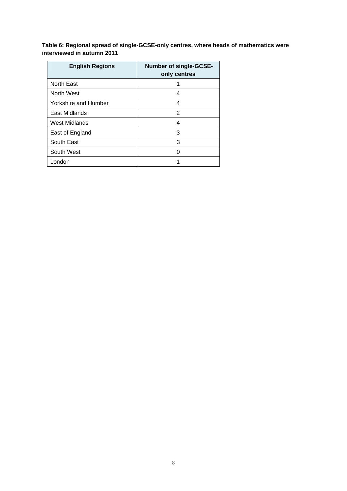<span id="page-7-0"></span>**Table 6: Regional spread of single-GCSE-only centres, where heads of mathematics were interviewed in autumn 2011** 

| <b>English Regions</b>      | <b>Number of single-GCSE-</b><br>only centres |
|-----------------------------|-----------------------------------------------|
| <b>North East</b>           |                                               |
| North West                  | 4                                             |
| <b>Yorkshire and Humber</b> | 4                                             |
| East Midlands               | 2                                             |
| <b>West Midlands</b>        | 4                                             |
| East of England             | 3                                             |
| South East                  | 3                                             |
| South West                  |                                               |
| London                      |                                               |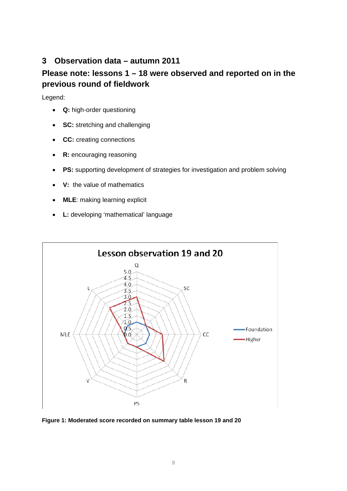### <span id="page-8-0"></span>**3 Observation data – autumn 2011**

### **Please note: lessons 1 – 18 were observed and reported on in the previous round of fieldwork**

Legend:

- **Q:** high-order questioning
- **SC:** stretching and challenging
- **CC:** creating connections
- **R:** encouraging reasoning
- **PS:** supporting development of strategies for investigation and problem solving
- **V:** the value of mathematics
- **MLE**: making learning explicit
- **L:** developing 'mathematical' language



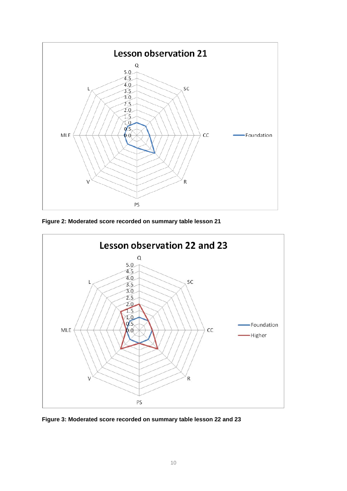<span id="page-9-0"></span>

**Figure 2: Moderated score recorded on summary table lesson 21**



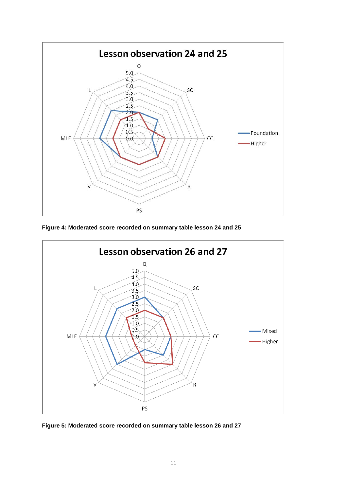<span id="page-10-0"></span>

**Figure 4: Moderated score recorded on summary table lesson 24 and 25**



**Figure 5: Moderated score recorded on summary table lesson 26 and 27**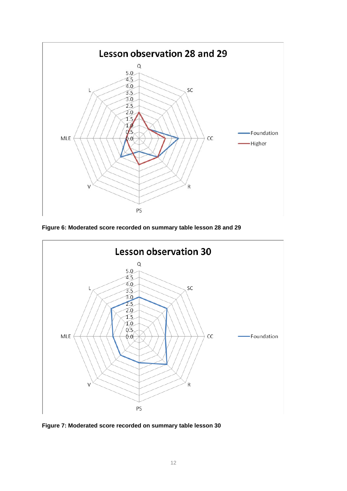<span id="page-11-0"></span>

**Figure 6: Moderated score recorded on summary table lesson 28 and 29**



**Figure 7: Moderated score recorded on summary table lesson 30**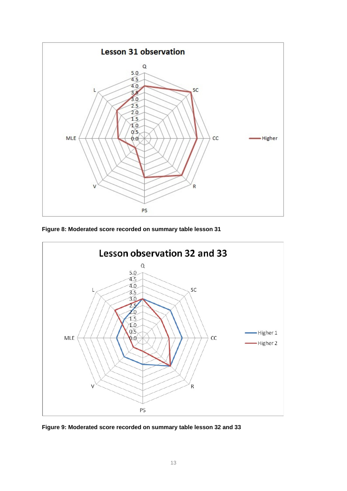<span id="page-12-0"></span>

**Figure 8: Moderated score recorded on summary table lesson 31** 



**Figure 9: Moderated score recorded on summary table lesson 32 and 33**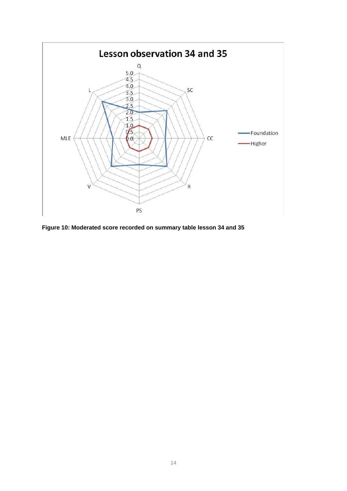<span id="page-13-0"></span>

**Figure 10: Moderated score recorded on summary table lesson 34 and 35**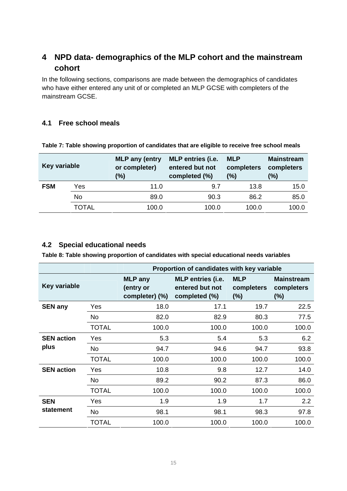### <span id="page-14-0"></span>**4 NPD data- demographics of the MLP cohort and the mainstream cohort**

In the following sections, comparisons are made between the demographics of candidates who have either entered any unit of or completed an MLP GCSE with completers of the mainstream GCSE.

#### **4.1 Free school meals**

| Key variable |           | <b>MLP</b> any (entry<br>or completer)<br>(9) | <b>MLP</b> entries (i.e.<br>entered but not<br>completed (%) | <b>MLP</b><br>completers<br>(%) | <b>Mainstream</b><br>completers<br>(%) |
|--------------|-----------|-----------------------------------------------|--------------------------------------------------------------|---------------------------------|----------------------------------------|
| <b>FSM</b>   | Yes       | 11.0                                          | 9.7                                                          | 13.8                            | 15.0                                   |
|              | <b>No</b> | 89.0                                          | 90.3                                                         | 86.2                            | 85.0                                   |
|              | TOTAL     | 100.0                                         | 100.0                                                        | 100.0                           | 100.0                                  |

**Table 7: Table showing proportion of candidates that are eligible to receive free school meals** 

### **4.2 Special educational needs**

**Table 8: Table showing proportion of candidates with special educational needs variables** 

|                     |              | Proportion of candidates with key variable    |                                                              |                                    |                                           |  |  |
|---------------------|--------------|-----------------------------------------------|--------------------------------------------------------------|------------------------------------|-------------------------------------------|--|--|
| <b>Key variable</b> |              | <b>MLP</b> any<br>(entry or<br>completer) (%) | <b>MLP</b> entries (i.e.<br>entered but not<br>completed (%) | <b>MLP</b><br>completers<br>$(\%)$ | <b>Mainstream</b><br>completers<br>$(\%)$ |  |  |
| <b>SEN any</b>      | Yes          | 18.0                                          | 17.1                                                         | 19.7                               | 22.5                                      |  |  |
|                     | <b>No</b>    | 82.0                                          | 82.9                                                         | 80.3                               | 77.5                                      |  |  |
|                     | <b>TOTAL</b> | 100.0                                         | 100.0                                                        | 100.0                              | 100.0                                     |  |  |
| <b>SEN action</b>   | Yes          | 5.3                                           | 5.4                                                          | 5.3                                | 6.2                                       |  |  |
| plus                | No           | 94.7                                          | 94.6                                                         | 94.7                               | 93.8                                      |  |  |
|                     | <b>TOTAL</b> | 100.0                                         | 100.0                                                        | 100.0                              | 100.0                                     |  |  |
| <b>SEN action</b>   | Yes          | 10.8                                          | 9.8                                                          | 12.7                               | 14.0                                      |  |  |
|                     | <b>No</b>    | 89.2                                          | 90.2                                                         | 87.3                               | 86.0                                      |  |  |
|                     | <b>TOTAL</b> | 100.0                                         | 100.0                                                        | 100.0                              | 100.0                                     |  |  |
| <b>SEN</b>          | Yes          | 1.9                                           | 1.9                                                          | 1.7                                | 2.2                                       |  |  |
| statement           | No           | 98.1                                          | 98.1                                                         | 98.3                               | 97.8                                      |  |  |
|                     | <b>TOTAL</b> | 100.0                                         | 100.0                                                        | 100.0                              | 100.0                                     |  |  |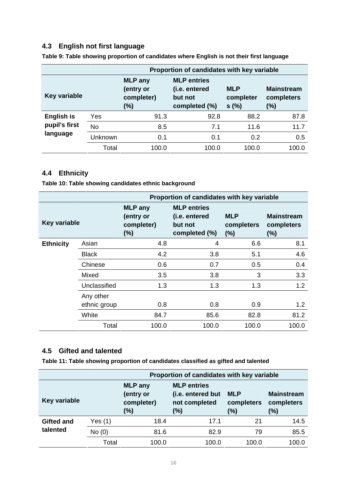### <span id="page-15-0"></span>**4.3 English not first language**

|                     |           | Proportion of candidates with key variable          |                                                                 |                                 |                                            |  |  |  |
|---------------------|-----------|-----------------------------------------------------|-----------------------------------------------------------------|---------------------------------|--------------------------------------------|--|--|--|
| <b>Key variable</b> |           | <b>MLP</b> any<br>(entry or<br>completer)<br>$(\%)$ | <b>MLP</b> entries<br>(i.e. entered<br>but not<br>completed (%) | <b>MLP</b><br>completer<br>s(%) | <b>Mainstream</b><br>completers<br>$(\% )$ |  |  |  |
| English is          | Yes       | 91.3                                                | 92.8                                                            | 88.2                            | 87.8                                       |  |  |  |
| pupil's first       | <b>No</b> | 8.5                                                 | 7.1                                                             | 11.6                            | 11.7                                       |  |  |  |
| language            | Unknown   | 0.1                                                 | 0.1                                                             | 0.2                             | 0.5                                        |  |  |  |
|                     | Total     | 100.0                                               | 100.0                                                           | 100.0                           | 100.0                                      |  |  |  |

**Table 9: Table showing proportion of candidates where English is not their first language** 

### **4.4 Ethnicity**

**Table 10: Table showing candidates ethnic background** 

|                     |                           | Proportion of candidates with key variable          |                                                                 |                                 |                                        |  |  |  |
|---------------------|---------------------------|-----------------------------------------------------|-----------------------------------------------------------------|---------------------------------|----------------------------------------|--|--|--|
| <b>Key variable</b> |                           | <b>MLP</b> any<br>(entry or<br>completer)<br>$(\%)$ | <b>MLP</b> entries<br>(i.e. entered<br>but not<br>completed (%) | <b>MLP</b><br>completers<br>(%) | <b>Mainstream</b><br>completers<br>(%) |  |  |  |
| <b>Ethnicity</b>    | Asian                     | 4.8                                                 | 4                                                               | 6.6                             | 8.1                                    |  |  |  |
|                     | <b>Black</b>              | 4.2                                                 | 3.8                                                             | 5.1                             | 4.6                                    |  |  |  |
|                     | Chinese                   | 0.6                                                 | 0.7                                                             | 0.5                             | 0.4                                    |  |  |  |
|                     | Mixed                     | 3.5                                                 | 3.8                                                             | 3                               | 3.3                                    |  |  |  |
|                     | Unclassified              | 1.3                                                 | 1.3                                                             | 1.3                             | 1.2                                    |  |  |  |
|                     | Any other<br>ethnic group | 0.8                                                 | 0.8                                                             | 0.9                             | 1.2                                    |  |  |  |
|                     | White                     | 84.7                                                | 85.6                                                            | 82.8                            | 81.2                                   |  |  |  |
|                     | Total                     | 100.0                                               | 100.0                                                           | 100.0                           | 100.0                                  |  |  |  |

#### **4.5 Gifted and talented**

**Table 11: Table showing proportion of candidates classified as gifted and talented** 

|                                                                     |           | Proportion of candidates with key variable                      |                                                                              |       |       |  |  |
|---------------------------------------------------------------------|-----------|-----------------------------------------------------------------|------------------------------------------------------------------------------|-------|-------|--|--|
| <b>MLP</b> any<br>(entry or<br>Key variable<br>completer)<br>$(\%)$ |           | <b>MLP</b> entries<br>(i.e. entered but<br>not completed<br>(%) | <b>Mainstream</b><br><b>MLP</b><br>completers<br>completers<br>$(\%)$<br>(%) |       |       |  |  |
| <b>Gifted and</b>                                                   | Yes $(1)$ | 18.4                                                            | 17.1                                                                         | 21    | 14.5  |  |  |
| talented                                                            | No(0)     | 81.6                                                            | 82.9                                                                         | 79    | 85.5  |  |  |
|                                                                     | Total     | 100.0                                                           | 100.0                                                                        | 100.0 | 100.0 |  |  |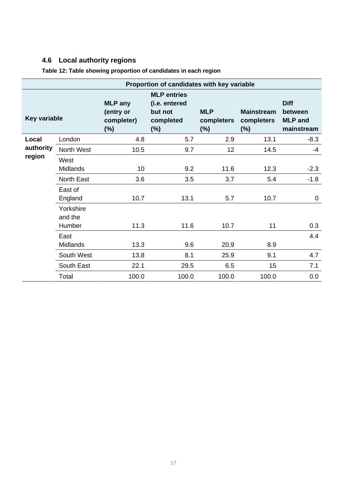# <span id="page-16-0"></span>**4.6 Local authority regions**

| Proportion of candidates with key variable |                                                     |                                                                       |                                     |                                           |                                                        |  |  |
|--------------------------------------------|-----------------------------------------------------|-----------------------------------------------------------------------|-------------------------------------|-------------------------------------------|--------------------------------------------------------|--|--|
|                                            | <b>MLP</b> any<br>(entry or<br>completer)<br>$(\%)$ | <b>MLP</b> entries<br>(i.e. entered<br>but not<br>completed<br>$(\%)$ | <b>MLP</b><br>completers<br>$(\% )$ | <b>Mainstream</b><br>completers<br>$(\%)$ | <b>Diff</b><br>between<br><b>MLP</b> and<br>mainstream |  |  |
| London                                     | 4.8                                                 | 5.7                                                                   | 2.9                                 | 13.1                                      | $-8.3$                                                 |  |  |
| North West                                 | 10.5                                                | 9.7                                                                   | 12                                  | 14.5                                      | $-4$                                                   |  |  |
| West                                       |                                                     |                                                                       |                                     |                                           |                                                        |  |  |
| <b>Midlands</b>                            | 10                                                  | 9.2                                                                   | 11.6                                | 12.3                                      | $-2.3$                                                 |  |  |
| North East                                 | 3.6                                                 | 3.5                                                                   | 3.7                                 | 5.4                                       | $-1.8$                                                 |  |  |
| East of<br>England                         | 10.7                                                | 13.1                                                                  | 5.7                                 | 10.7                                      | $\mathbf 0$                                            |  |  |
| Yorkshire<br>and the                       |                                                     |                                                                       |                                     |                                           |                                                        |  |  |
|                                            |                                                     |                                                                       |                                     |                                           | 0.3                                                    |  |  |
| East                                       |                                                     |                                                                       |                                     |                                           | 4.4                                                    |  |  |
|                                            |                                                     |                                                                       |                                     |                                           |                                                        |  |  |
| South West                                 | 13.8                                                | 8.1                                                                   | 25.9                                | 9.1                                       | 4.7                                                    |  |  |
| South East                                 | 22.1                                                | 29.5                                                                  | 6.5                                 | 15                                        | 7.1                                                    |  |  |
| Total                                      | 100.0                                               | 100.0                                                                 | 100.0                               | 100.0                                     | 0.0                                                    |  |  |
|                                            | <b>Key variable</b><br>Humber<br><b>Midlands</b>    | 11.3<br>13.3                                                          | 11.6<br>9.6                         | 10.7<br>20.9                              | 11<br>8.9                                              |  |  |

**Table 12: Table showing proportion of candidates in each region**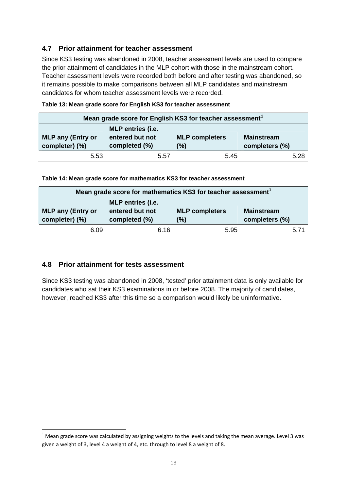#### <span id="page-17-0"></span>**4.7 Prior attainment for teacher assessment**

Since KS3 testing was abandoned in 2008, teacher assessment levels are used to compare the prior attainment of candidates in the MLP cohort with those in the mainstream cohort. Teacher assessment levels were recorded both before and after testing was abandoned, so it remains possible to make comparisons between all MLP candidates and mainstream candidates for whom teacher assessment levels were recorded.

| Mean grade score for English KS3 for teacher assessment <sup>1</sup> |                                                       |                              |                                     |  |  |  |  |
|----------------------------------------------------------------------|-------------------------------------------------------|------------------------------|-------------------------------------|--|--|--|--|
| <b>MLP any (Entry or</b><br>completer) (%)                           | MLP entries (i.e.<br>entered but not<br>completed (%) | <b>MLP</b> completers<br>(%) | <b>Mainstream</b><br>completers (%) |  |  |  |  |
| 5.53                                                                 | 5.57                                                  | 5.45                         | 5.28                                |  |  |  |  |

| Table 13: Mean grade score for English KS3 for teacher assessment |  |  |  |  |
|-------------------------------------------------------------------|--|--|--|--|
|-------------------------------------------------------------------|--|--|--|--|

**Table 14: Mean grade score for mathematics KS3 for teacher assessment** 

| Mean grade score for mathematics KS3 for teacher assessment <sup>1</sup>                                                                                                          |      |      |      |  |  |  |  |
|-----------------------------------------------------------------------------------------------------------------------------------------------------------------------------------|------|------|------|--|--|--|--|
| <b>MLP</b> entries (i.e.<br>entered but not<br><b>MLP any (Entry or</b><br><b>MLP completers</b><br><b>Mainstream</b><br>completer) (%)<br>completed (%)<br>(%)<br>completers (%) |      |      |      |  |  |  |  |
| 6.09                                                                                                                                                                              | 6.16 | 5.95 | 5.71 |  |  |  |  |

#### **4.8 Prior attainment for tests assessment**

1

Since KS3 testing was abandoned in 2008, 'tested' prior attainment data is only available for candidates who sat their KS3 examinations in or before 2008. The majority of candidates, however, reached KS3 after this time so a comparison would likely be uninformative.

<span id="page-17-1"></span> $1$  Mean grade score was calculated by assigning weights to the levels and taking the mean average. Level 3 was given a weight of 3, level 4 a weight of 4, etc. through to level 8 a weight of 8.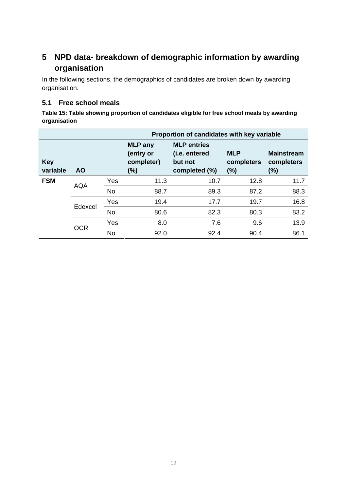# <span id="page-18-0"></span>**5 NPD data- breakdown of demographic information by awarding organisation**

In the following sections, the demographics of candidates are broken down by awarding organisation.

#### **5.1 Free school meals**

**Table 15: Table showing proportion of candidates eligible for free school meals by awarding organisation** 

|                        |            |           | Proportion of candidates with key variable       |                                                                 |                                    |                                           |  |  |
|------------------------|------------|-----------|--------------------------------------------------|-----------------------------------------------------------------|------------------------------------|-------------------------------------------|--|--|
| <b>Key</b><br>variable | <b>AO</b>  |           | <b>MLP</b> any<br>(entry or<br>completer)<br>(%) | <b>MLP</b> entries<br>(i.e. entered<br>but not<br>completed (%) | <b>MLP</b><br>completers<br>$(\%)$ | <b>Mainstream</b><br>completers<br>$(\%)$ |  |  |
| <b>FSM</b>             |            | Yes       | 11.3                                             | 10.7                                                            | 12.8                               | 11.7                                      |  |  |
|                        | <b>AQA</b> | <b>No</b> | 88.7                                             | 89.3                                                            | 87.2                               | 88.3                                      |  |  |
|                        | Edexcel    | Yes       | 19.4                                             | 17.7                                                            | 19.7                               | 16.8                                      |  |  |
|                        |            | <b>No</b> | 80.6                                             | 82.3                                                            | 80.3                               | 83.2                                      |  |  |
|                        | OCR        | Yes       | 8.0                                              | 7.6                                                             | 9.6                                | 13.9                                      |  |  |
|                        |            | <b>No</b> | 92.0                                             | 92.4                                                            | 90.4                               | 86.1                                      |  |  |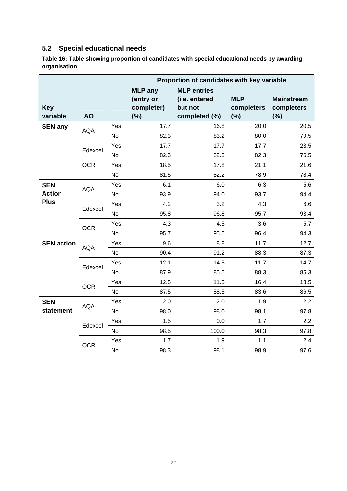### <span id="page-19-0"></span>**5.2 Special educational needs**

**Table 16: Table showing proportion of candidates with special educational needs by awarding organisation** 

|                        |            |           | Proportion of candidates with key variable          |                                                                 |                                 |                                        |  |
|------------------------|------------|-----------|-----------------------------------------------------|-----------------------------------------------------------------|---------------------------------|----------------------------------------|--|
| <b>Key</b><br>variable | <b>AO</b>  |           | <b>MLP</b> any<br>(entry or<br>completer)<br>$(\%)$ | <b>MLP</b> entries<br>(i.e. entered<br>but not<br>completed (%) | <b>MLP</b><br>completers<br>(%) | <b>Mainstream</b><br>completers<br>(%) |  |
| <b>SEN any</b>         |            | Yes       | 17.7                                                | 16.8                                                            | 20.0                            | 20.5                                   |  |
|                        | <b>AQA</b> | <b>No</b> | 82.3                                                | 83.2                                                            | 80.0                            | 79.5                                   |  |
|                        | Edexcel    | Yes       | 17.7                                                | 17.7                                                            | 17.7                            | 23.5                                   |  |
|                        |            | No        | 82.3                                                | 82.3                                                            | 82.3                            | 76.5                                   |  |
|                        | <b>OCR</b> | Yes       | 18.5                                                | 17.8                                                            | 21.1                            | 21.6                                   |  |
|                        |            | <b>No</b> | 81.5                                                | 82.2                                                            | 78.9                            | 78.4                                   |  |
| <b>SEN</b>             | <b>AQA</b> | Yes       | 6.1                                                 | 6.0                                                             | 6.3                             | 5.6                                    |  |
| <b>Action</b>          |            | <b>No</b> | 93.9                                                | 94.0                                                            | 93.7                            | 94.4                                   |  |
| <b>Plus</b>            | Edexcel    | Yes       | 4.2                                                 | 3.2                                                             | 4.3                             | 6.6                                    |  |
|                        |            | No        | 95.8                                                | 96.8                                                            | 95.7                            | 93.4                                   |  |
|                        | <b>OCR</b> | Yes       | 4.3                                                 | 4.5                                                             | 3.6                             | 5.7                                    |  |
|                        |            | No        | 95.7                                                | 95.5                                                            | 96.4                            | 94.3                                   |  |
| <b>SEN action</b>      | <b>AQA</b> | Yes       | 9.6                                                 | 8.8                                                             | 11.7                            | 12.7                                   |  |
|                        |            | No        | 90.4                                                | 91.2                                                            | 88.3                            | 87.3                                   |  |
|                        | Edexcel    | Yes       | 12.1                                                | 14.5                                                            | 11.7                            | 14.7                                   |  |
|                        |            | No        | 87.9                                                | 85.5                                                            | 88.3                            | 85.3                                   |  |
|                        | <b>OCR</b> | Yes       | 12.5                                                | 11.5                                                            | 16.4                            | 13.5                                   |  |
|                        |            | No        | 87.5                                                | 88.5                                                            | 83.6                            | 86.5                                   |  |
| <b>SEN</b>             | <b>AQA</b> | Yes       | 2.0                                                 | 2.0                                                             | 1.9                             | 2.2                                    |  |
| statement              |            | <b>No</b> | 98.0                                                | 98.0                                                            | 98.1                            | 97.8                                   |  |
|                        | Edexcel    | Yes       | 1.5                                                 | 0.0                                                             | 1.7                             | $2.2\phantom{0}$                       |  |
|                        |            | No        | 98.5                                                | 100.0                                                           | 98.3                            | 97.8                                   |  |
|                        |            | Yes       | 1.7                                                 | 1.9                                                             | 1.1                             | 2.4                                    |  |
|                        | <b>OCR</b> | <b>No</b> | 98.3                                                | 98.1                                                            | 98.9                            | 97.6                                   |  |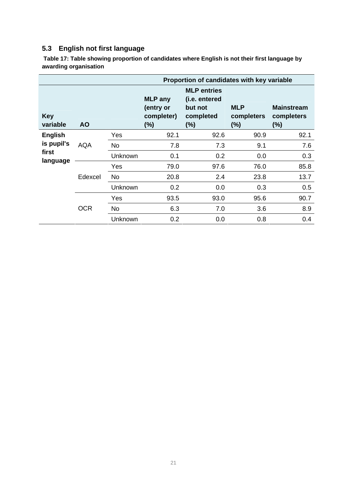# <span id="page-20-0"></span>**5.3 English not first language**

 **Table 17: Table showing proportion of candidates where English is not their first language by awarding organisation** 

|                        |            | Proportion of candidates with key variable |                                                  |                                                                    |                                 |                                           |  |
|------------------------|------------|--------------------------------------------|--------------------------------------------------|--------------------------------------------------------------------|---------------------------------|-------------------------------------------|--|
| <b>Key</b><br>variable | <b>AO</b>  |                                            | <b>MLP</b> any<br>(entry or<br>completer)<br>(%) | <b>MLP</b> entries<br>(i.e. entered<br>but not<br>completed<br>(%) | <b>MLP</b><br>completers<br>(%) | <b>Mainstream</b><br>completers<br>$(\%)$ |  |
| <b>English</b>         |            | Yes                                        | 92.1                                             | 92.6                                                               | 90.9                            | 92.1                                      |  |
| is pupil's             | <b>AQA</b> | No                                         | 7.8                                              | 7.3                                                                | 9.1                             | 7.6                                       |  |
| first                  |            | Unknown                                    | 0.1                                              | 0.2                                                                | 0.0                             | 0.3                                       |  |
| language               | Edexcel    | Yes                                        | 79.0                                             | 97.6                                                               | 76.0                            | 85.8                                      |  |
|                        |            | <b>No</b>                                  | 20.8                                             | 2.4                                                                | 23.8                            | 13.7                                      |  |
|                        |            | Unknown                                    | 0.2                                              | 0.0                                                                | 0.3                             | 0.5                                       |  |
|                        | <b>OCR</b> | Yes                                        | 93.5                                             | 93.0                                                               | 95.6                            | 90.7                                      |  |
|                        |            | <b>No</b>                                  | 6.3                                              | 7.0                                                                | 3.6                             | 8.9                                       |  |
|                        |            | Unknown                                    | 0.2                                              | 0.0                                                                | 0.8                             | 0.4                                       |  |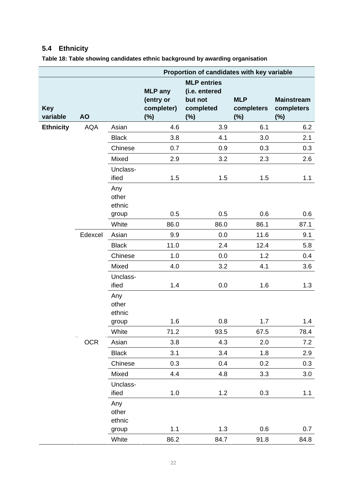# <span id="page-21-0"></span>**5.4 Ethnicity**

|                        |            | Proportion of candidates with key variable |                                                  |                                                                    |                                 |                                           |
|------------------------|------------|--------------------------------------------|--------------------------------------------------|--------------------------------------------------------------------|---------------------------------|-------------------------------------------|
| <b>Key</b><br>variable | <b>AO</b>  |                                            | <b>MLP</b> any<br>(entry or<br>completer)<br>(%) | <b>MLP</b> entries<br>(i.e. entered<br>but not<br>completed<br>(%) | <b>MLP</b><br>completers<br>(%) | <b>Mainstream</b><br>completers<br>$(\%)$ |
| <b>Ethnicity</b>       | <b>AQA</b> | Asian                                      | 4.6                                              | 3.9                                                                | 6.1                             | 6.2                                       |
|                        |            | <b>Black</b>                               | 3.8                                              | 4.1                                                                | 3.0                             | 2.1                                       |
|                        |            | Chinese                                    | 0.7                                              | 0.9                                                                | 0.3                             | 0.3                                       |
|                        |            | Mixed                                      | 2.9                                              | 3.2                                                                | 2.3                             | 2.6                                       |
|                        |            | Unclass-<br>ified                          | 1.5                                              | 1.5                                                                | 1.5                             | 1.1                                       |
|                        |            | Any<br>other<br>ethnic                     |                                                  |                                                                    |                                 |                                           |
|                        |            | group                                      | 0.5                                              | 0.5                                                                | 0.6                             | 0.6                                       |
|                        |            | White                                      | 86.0                                             | 86.0                                                               | 86.1                            | 87.1                                      |
|                        | Edexcel    | Asian                                      | 9.9                                              | 0.0                                                                | 11.6                            | 9.1                                       |
|                        |            | <b>Black</b>                               | 11.0                                             | 2.4                                                                | 12.4                            | 5.8                                       |
|                        |            | Chinese                                    | 1.0                                              | 0.0                                                                | 1.2                             | 0.4                                       |
|                        |            | Mixed<br>Unclass-                          | 4.0                                              | 3.2                                                                | 4.1                             | 3.6                                       |
|                        |            | ified                                      | 1.4                                              | 0.0                                                                | 1.6                             | 1.3                                       |
|                        |            | Any<br>other<br>ethnic                     |                                                  |                                                                    |                                 |                                           |
|                        |            | group                                      | 1.6                                              | 0.8                                                                | 1.7                             | 1.4                                       |
|                        |            | White                                      | 71.2                                             | 93.5                                                               | 67.5                            | 78.4                                      |
|                        | <b>OCR</b> | Asian                                      | 3.8                                              | 4.3                                                                | 2.0                             | 7.2                                       |
|                        |            | <b>Black</b>                               | 3.1                                              | 3.4                                                                | 1.8                             | 2.9                                       |
|                        |            | Chinese                                    | 0.3                                              | 0.4                                                                | 0.2                             | 0.3                                       |
|                        |            | Mixed                                      | 4.4                                              | 4.8                                                                | 3.3                             | 3.0                                       |
|                        |            | Unclass-<br>ified                          | 1.0                                              | 1.2                                                                | 0.3                             | 1.1                                       |
|                        |            | Any<br>other<br>ethnic                     |                                                  |                                                                    |                                 |                                           |
|                        |            | group                                      | 1.1                                              | 1.3                                                                | 0.6                             | 0.7                                       |
|                        |            | White                                      | 86.2                                             | 84.7                                                               | 91.8                            | 84.8                                      |

**Table 18: Table showing candidates ethnic background by awarding organisation**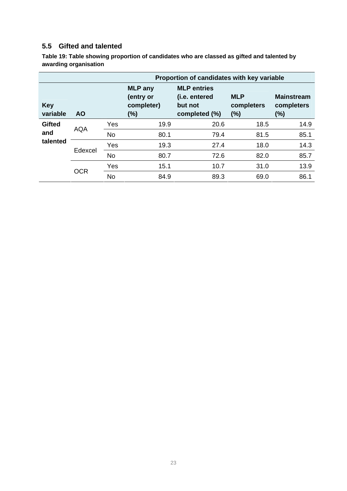### <span id="page-22-0"></span>**5.5 Gifted and talented**

**Table 19: Table showing proportion of candidates who are classed as gifted and talented by awarding organisation** 

|                                  |            |           | Proportion of candidates with key variable       |                                                                 |                                 |                                        |  |
|----------------------------------|------------|-----------|--------------------------------------------------|-----------------------------------------------------------------|---------------------------------|----------------------------------------|--|
| <b>Key</b><br>variable           | <b>AO</b>  |           | <b>MLP</b> any<br>(entry or<br>completer)<br>(%) | <b>MLP</b> entries<br>(i.e. entered<br>but not<br>completed (%) | <b>MLP</b><br>completers<br>(%) | <b>Mainstream</b><br>completers<br>(%) |  |
| <b>Gifted</b><br>and<br>talented | <b>AQA</b> | Yes       | 19.9                                             | 20.6                                                            | 18.5                            | 14.9                                   |  |
|                                  |            | <b>No</b> | 80.1                                             | 79.4                                                            | 81.5                            | 85.1                                   |  |
|                                  | Edexcel    | Yes       | 19.3                                             | 27.4                                                            | 18.0                            | 14.3                                   |  |
|                                  |            | <b>No</b> | 80.7                                             | 72.6                                                            | 82.0                            | 85.7                                   |  |
|                                  |            | Yes       | 15.1                                             | 10.7                                                            | 31.0                            | 13.9                                   |  |
|                                  | <b>OCR</b> | <b>No</b> | 84.9                                             | 89.3                                                            | 69.0                            | 86.1                                   |  |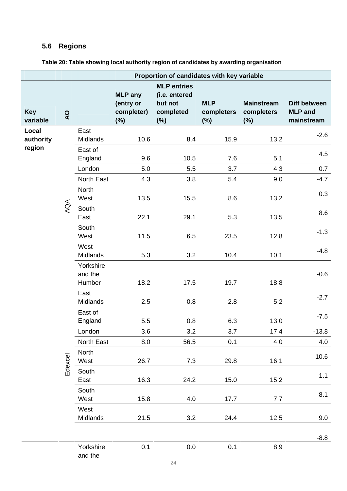# <span id="page-23-0"></span>**5.6 Regions**

|                        |              | Proportion of candidates with key variable |                                                     |                                                                       |                                    |                                           |                                                     |
|------------------------|--------------|--------------------------------------------|-----------------------------------------------------|-----------------------------------------------------------------------|------------------------------------|-------------------------------------------|-----------------------------------------------------|
| <b>Key</b><br>variable | $\mathsf{Q}$ |                                            | <b>MLP</b> any<br>(entry or<br>completer)<br>$(\%)$ | <b>MLP</b> entries<br>(i.e. entered<br>but not<br>completed<br>$(\%)$ | <b>MLP</b><br>completers<br>$(\%)$ | <b>Mainstream</b><br>completers<br>$(\%)$ | <b>Diff between</b><br><b>MLP</b> and<br>mainstream |
| Local<br>authority     |              | East<br>Midlands                           | 10.6                                                | 8.4                                                                   | 15.9                               | 13.2                                      | $-2.6$                                              |
| region                 |              | East of<br>England                         | 9.6                                                 | 10.5                                                                  | 7.6                                | 5.1                                       | 4.5                                                 |
|                        |              | London                                     | 5.0                                                 | 5.5                                                                   | 3.7                                | 4.3                                       | 0.7                                                 |
|                        |              | North East                                 | 4.3                                                 | 3.8                                                                   | 5.4                                | 9.0                                       | $-4.7$                                              |
|                        |              | <b>North</b><br>West                       | 13.5                                                | 15.5                                                                  | 8.6                                | 13.2                                      | 0.3                                                 |
|                        | AQA          | South<br>East                              | 22.1                                                | 29.1                                                                  | 5.3                                | 13.5                                      | 8.6                                                 |
|                        |              | South<br>West                              | 11.5                                                | 6.5                                                                   | 23.5                               | 12.8                                      | $-1.3$                                              |
|                        |              | West<br>Midlands                           | 5.3                                                 | 3.2                                                                   | 10.4                               | 10.1                                      | $-4.8$                                              |
|                        |              | Yorkshire<br>and the<br>Humber             | 18.2                                                | 17.5                                                                  | 19.7                               | 18.8                                      | $-0.6$                                              |
|                        |              | East<br>Midlands                           | 2.5                                                 | 0.8                                                                   | 2.8                                | 5.2                                       | $-2.7$                                              |
|                        |              | East of<br>England                         | 5.5                                                 | 0.8                                                                   | 6.3                                | 13.0                                      | $-7.5$                                              |
|                        |              | London                                     | 3.6                                                 | 3.2                                                                   | 3.7                                | 17.4                                      | $-13.8$                                             |
|                        |              | North East                                 | 8.0                                                 | 56.5                                                                  | 0.1                                | 4.0                                       | 4.0                                                 |
|                        | Edexcel      | North<br>West                              | 26.7                                                | 7.3                                                                   | 29.8                               | 16.1                                      | 10.6                                                |
|                        |              | South<br>East                              | 16.3                                                | 24.2                                                                  | 15.0                               | 15.2                                      | 1.1                                                 |
|                        |              | South<br>West                              | 15.8                                                | 4.0                                                                   | 17.7                               | 7.7                                       | 8.1                                                 |
|                        |              | West<br>Midlands                           | 21.5                                                | 3.2                                                                   | 24.4                               | 12.5                                      | 9.0                                                 |
|                        |              |                                            |                                                     |                                                                       |                                    |                                           | $-8.8$                                              |
|                        |              | Yorkshire<br>and the                       | 0.1                                                 | 0.0                                                                   | 0.1                                | 8.9                                       |                                                     |

**Table 20: Table showing local authority region of candidates by awarding organisation**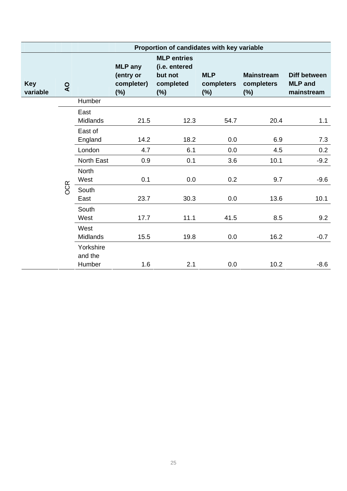|                        |                | Proportion of candidates with key variable |                                                     |                                                                       |                                    |                                           |                                              |
|------------------------|----------------|--------------------------------------------|-----------------------------------------------------|-----------------------------------------------------------------------|------------------------------------|-------------------------------------------|----------------------------------------------|
| <b>Key</b><br>variable | $\overline{Q}$ |                                            | <b>MLP</b> any<br>(entry or<br>completer)<br>$(\%)$ | <b>MLP</b> entries<br>(i.e. entered<br>but not<br>completed<br>$(\%)$ | <b>MLP</b><br>completers<br>$(\%)$ | <b>Mainstream</b><br>completers<br>$(\%)$ | Diff between<br><b>MLP</b> and<br>mainstream |
|                        |                | Humber                                     |                                                     |                                                                       |                                    |                                           |                                              |
|                        |                | East<br><b>Midlands</b>                    | 21.5                                                | 12.3                                                                  | 54.7                               | 20.4                                      | 1.1                                          |
|                        |                | East of<br>England                         | 14.2                                                | 18.2                                                                  | 0.0                                | 6.9                                       | 7.3                                          |
|                        |                | London                                     | 4.7                                                 | 6.1                                                                   | 0.0                                | 4.5                                       | 0.2                                          |
|                        |                | North East                                 | 0.9                                                 | 0.1                                                                   | 3.6                                | 10.1                                      | $-9.2$                                       |
|                        |                | <b>North</b><br>West                       | 0.1                                                 | 0.0                                                                   | 0.2                                | 9.7                                       | $-9.6$                                       |
|                        | <b>OCR</b>     | South<br>East                              | 23.7                                                | 30.3                                                                  | 0.0                                | 13.6                                      | 10.1                                         |
|                        |                | South<br>West                              | 17.7                                                | 11.1                                                                  | 41.5                               | 8.5                                       | 9.2                                          |
|                        |                | West<br><b>Midlands</b>                    | 15.5                                                | 19.8                                                                  | 0.0                                | 16.2                                      | $-0.7$                                       |
|                        |                | Yorkshire<br>and the<br>Humber             | 1.6                                                 | 2.1                                                                   | 0.0                                | 10.2                                      | $-8.6$                                       |
|                        |                |                                            |                                                     |                                                                       |                                    |                                           |                                              |